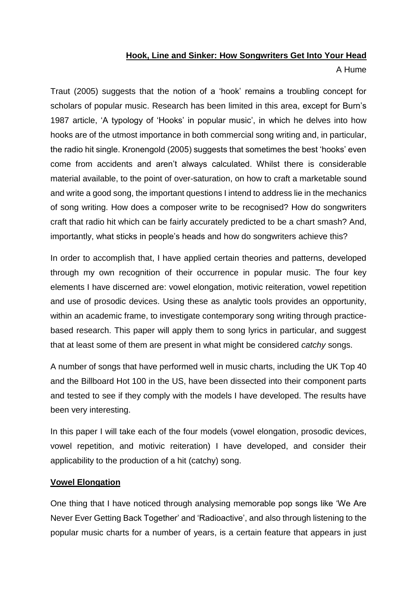## **Hook, Line and Sinker: How Songwriters Get Into Your Head**

A Hume

Traut (2005) suggests that the notion of a 'hook' remains a troubling concept for scholars of popular music. Research has been limited in this area, except for Burn's 1987 article, 'A typology of 'Hooks' in popular music', in which he delves into how hooks are of the utmost importance in both commercial song writing and, in particular, the radio hit single. Kronengold (2005) suggests that sometimes the best 'hooks' even come from accidents and aren't always calculated. Whilst there is considerable material available, to the point of over-saturation, on how to craft a marketable sound and write a good song, the important questions I intend to address lie in the mechanics of song writing. How does a composer write to be recognised? How do songwriters craft that radio hit which can be fairly accurately predicted to be a chart smash? And, importantly, what sticks in people's heads and how do songwriters achieve this?

In order to accomplish that, I have applied certain theories and patterns, developed through my own recognition of their occurrence in popular music. The four key elements I have discerned are: vowel elongation, motivic reiteration, vowel repetition and use of prosodic devices. Using these as analytic tools provides an opportunity, within an academic frame, to investigate contemporary song writing through practicebased research. This paper will apply them to song lyrics in particular, and suggest that at least some of them are present in what might be considered *catchy* songs.

A number of songs that have performed well in music charts, including the UK Top 40 and the Billboard Hot 100 in the US, have been dissected into their component parts and tested to see if they comply with the models I have developed. The results have been very interesting.

In this paper I will take each of the four models (vowel elongation, prosodic devices, vowel repetition, and motivic reiteration) I have developed, and consider their applicability to the production of a hit (catchy) song.

# **Vowel Elongation**

One thing that I have noticed through analysing memorable pop songs like 'We Are Never Ever Getting Back Together' and 'Radioactive', and also through listening to the popular music charts for a number of years, is a certain feature that appears in just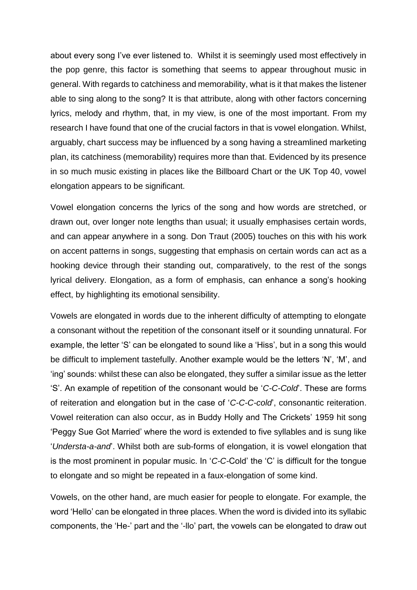about every song I've ever listened to. Whilst it is seemingly used most effectively in the pop genre, this factor is something that seems to appear throughout music in general. With regards to catchiness and memorability, what is it that makes the listener able to sing along to the song? It is that attribute, along with other factors concerning lyrics, melody and rhythm, that, in my view, is one of the most important. From my research I have found that one of the crucial factors in that is vowel elongation. Whilst, arguably, chart success may be influenced by a song having a streamlined marketing plan, its catchiness (memorability) requires more than that. Evidenced by its presence in so much music existing in places like the Billboard Chart or the UK Top 40, vowel elongation appears to be significant.

Vowel elongation concerns the lyrics of the song and how words are stretched, or drawn out, over longer note lengths than usual; it usually emphasises certain words, and can appear anywhere in a song. Don Traut (2005) touches on this with his work on accent patterns in songs, suggesting that emphasis on certain words can act as a hooking device through their standing out, comparatively, to the rest of the songs lyrical delivery. Elongation, as a form of emphasis, can enhance a song's hooking effect, by highlighting its emotional sensibility.

Vowels are elongated in words due to the inherent difficulty of attempting to elongate a consonant without the repetition of the consonant itself or it sounding unnatural. For example, the letter 'S' can be elongated to sound like a 'Hiss', but in a song this would be difficult to implement tastefully. Another example would be the letters 'N', 'M', and 'ing' sounds: whilst these can also be elongated, they suffer a similar issue as the letter 'S'. An example of repetition of the consonant would be '*C-C-Cold*'. These are forms of reiteration and elongation but in the case of '*C-C-C-cold*', consonantic reiteration. Vowel reiteration can also occur, as in Buddy Holly and The Crickets' 1959 hit song 'Peggy Sue Got Married' where the word is extended to five syllables and is sung like '*Understa-a-and*'. Whilst both are sub-forms of elongation, it is vowel elongation that is the most prominent in popular music. In '*C-C-*Cold' the 'C' is difficult for the tongue to elongate and so might be repeated in a faux-elongation of some kind.

Vowels, on the other hand, are much easier for people to elongate. For example, the word 'Hello' can be elongated in three places. When the word is divided into its syllabic components, the 'He-' part and the '-llo' part, the vowels can be elongated to draw out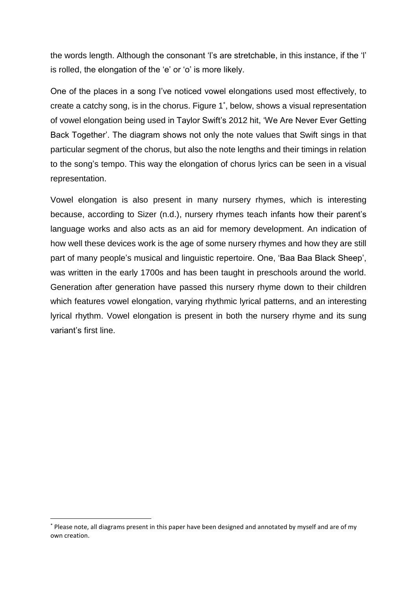the words length. Although the consonant 'l's are stretchable, in this instance, if the 'l' is rolled, the elongation of the 'e' or 'o' is more likely.

One of the places in a song I've noticed vowel elongations used most effectively, to create a catchy song, is in the chorus. Figure 1\* , below, shows a visual representation of vowel elongation being used in Taylor Swift's 2012 hit, 'We Are Never Ever Getting Back Together'. The diagram shows not only the note values that Swift sings in that particular segment of the chorus, but also the note lengths and their timings in relation to the song's tempo. This way the elongation of chorus lyrics can be seen in a visual representation.

Vowel elongation is also present in many nursery rhymes, which is interesting because, according to Sizer (n.d.), nursery rhymes teach infants how their parent's language works and also acts as an aid for memory development. An indication of how well these devices work is the age of some nursery rhymes and how they are still part of many people's musical and linguistic repertoire. One, 'Baa Baa Black Sheep', was written in the early 1700s and has been taught in preschools around the world. Generation after generation have passed this nursery rhyme down to their children which features vowel elongation, varying rhythmic lyrical patterns, and an interesting lyrical rhythm. Vowel elongation is present in both the nursery rhyme and its sung variant's first line.

1

<sup>\*</sup> Please note, all diagrams present in this paper have been designed and annotated by myself and are of my own creation.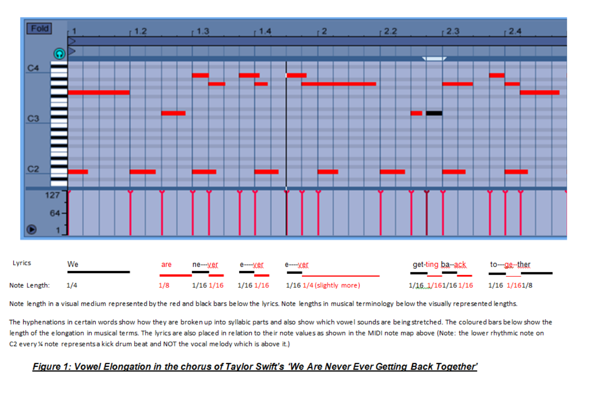

Note length in a visual medium represented by the red and black bars below the lyrics. Note lengths in musical terminology below the visually represented lengths.

The hyphenations in certain words show how they are broken up into syllabic parts and also show which vowel sounds are being stretched. The coloured bars below show the length of the elongation in musical terms. The lyrics are also placed in relation to their note values as shown in the MIDI note map above (Note: the lower rhythmic note on C2 every % note represents a kick drum beat and NOT the vocal melody which is above it.)

# Figure 1: Vowel Elongation in the chorus of Taylor Swift's 'We Are Never Ever Getting Back Together'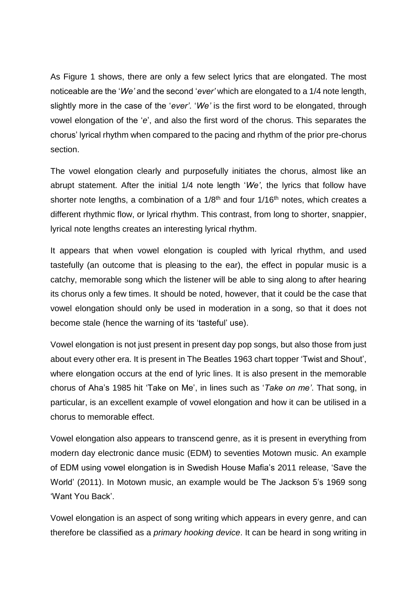As Figure 1 shows, there are only a few select lyrics that are elongated. The most noticeable are the '*We'* and the second '*ever'* which are elongated to a 1/4 note length, slightly more in the case of the '*ever'*. '*We'* is the first word to be elongated, through vowel elongation of the '*e*', and also the first word of the chorus. This separates the chorus' lyrical rhythm when compared to the pacing and rhythm of the prior pre-chorus section.

The vowel elongation clearly and purposefully initiates the chorus, almost like an abrupt statement. After the initial 1/4 note length '*We'*, the lyrics that follow have shorter note lengths, a combination of a 1/8<sup>th</sup> and four 1/16<sup>th</sup> notes, which creates a different rhythmic flow, or lyrical rhythm. This contrast, from long to shorter, snappier, lyrical note lengths creates an interesting lyrical rhythm.

It appears that when vowel elongation is coupled with lyrical rhythm, and used tastefully (an outcome that is pleasing to the ear), the effect in popular music is a catchy, memorable song which the listener will be able to sing along to after hearing its chorus only a few times. It should be noted, however, that it could be the case that vowel elongation should only be used in moderation in a song, so that it does not become stale (hence the warning of its 'tasteful' use).

Vowel elongation is not just present in present day pop songs, but also those from just about every other era. It is present in The Beatles 1963 chart topper 'Twist and Shout', where elongation occurs at the end of lyric lines. It is also present in the memorable chorus of Aha's 1985 hit 'Take on Me', in lines such as '*Take on me'*. That song, in particular, is an excellent example of vowel elongation and how it can be utilised in a chorus to memorable effect.

Vowel elongation also appears to transcend genre, as it is present in everything from modern day electronic dance music (EDM) to seventies Motown music. An example of EDM using vowel elongation is in Swedish House Mafia's 2011 release, 'Save the World' (2011). In Motown music, an example would be The Jackson 5's 1969 song 'Want You Back'.

Vowel elongation is an aspect of song writing which appears in every genre, and can therefore be classified as a *primary hooking device*. It can be heard in song writing in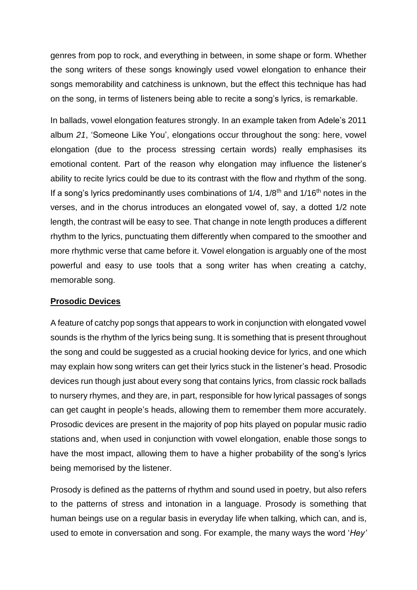genres from pop to rock, and everything in between, in some shape or form. Whether the song writers of these songs knowingly used vowel elongation to enhance their songs memorability and catchiness is unknown, but the effect this technique has had on the song, in terms of listeners being able to recite a song's lyrics, is remarkable.

In ballads, vowel elongation features strongly. In an example taken from Adele's 2011 album *21*, 'Someone Like You', elongations occur throughout the song: here, vowel elongation (due to the process stressing certain words) really emphasises its emotional content. Part of the reason why elongation may influence the listener's ability to recite lyrics could be due to its contrast with the flow and rhythm of the song. If a song's lyrics predominantly uses combinations of  $1/4$ ,  $1/8<sup>th</sup>$  and  $1/16<sup>th</sup>$  notes in the verses, and in the chorus introduces an elongated vowel of, say, a dotted 1/2 note length, the contrast will be easy to see. That change in note length produces a different rhythm to the lyrics, punctuating them differently when compared to the smoother and more rhythmic verse that came before it. Vowel elongation is arguably one of the most powerful and easy to use tools that a song writer has when creating a catchy, memorable song.

#### **Prosodic Devices**

A feature of catchy pop songs that appears to work in conjunction with elongated vowel sounds is the rhythm of the lyrics being sung. It is something that is present throughout the song and could be suggested as a crucial hooking device for lyrics, and one which may explain how song writers can get their lyrics stuck in the listener's head. Prosodic devices run though just about every song that contains lyrics, from classic rock ballads to nursery rhymes, and they are, in part, responsible for how lyrical passages of songs can get caught in people's heads, allowing them to remember them more accurately. Prosodic devices are present in the majority of pop hits played on popular music radio stations and, when used in conjunction with vowel elongation, enable those songs to have the most impact, allowing them to have a higher probability of the song's lyrics being memorised by the listener.

Prosody is defined as the patterns of rhythm and sound used in poetry, but also refers to the patterns of stress and intonation in a language. Prosody is something that human beings use on a regular basis in everyday life when talking, which can, and is, used to emote in conversation and song. For example, the many ways the word '*Hey'*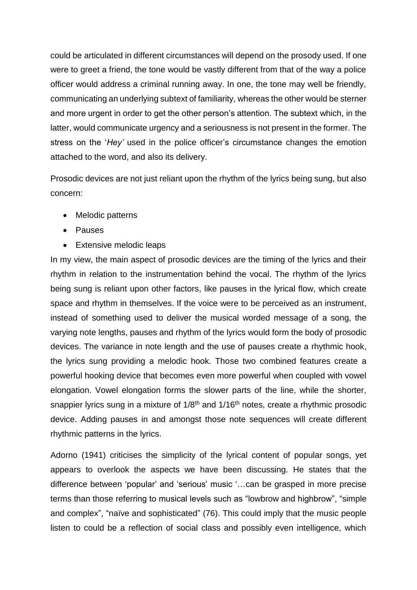could be articulated in different circumstances will depend on the prosody used. If one were to greet a friend, the tone would be vastly different from that of the way a police officer would address a criminal running away. In one, the tone may well be friendly, communicating an underlying subtext of familiarity, whereas the other would be sterner and more urgent in order to get the other person's attention. The subtext which, in the latter, would communicate urgency and a seriousness is not present in the former. The stress on the '*Hey'* used in the police officer's circumstance changes the emotion attached to the word, and also its delivery.

Prosodic devices are not just reliant upon the rhythm of the lyrics being sung, but also concern:

- Melodic patterns
- Pauses
- Extensive melodic leaps

In my view, the main aspect of prosodic devices are the timing of the lyrics and their rhythm in relation to the instrumentation behind the vocal. The rhythm of the lyrics being sung is reliant upon other factors, like pauses in the lyrical flow, which create space and rhythm in themselves. If the voice were to be perceived as an instrument, instead of something used to deliver the musical worded message of a song, the varying note lengths, pauses and rhythm of the lyrics would form the body of prosodic devices. The variance in note length and the use of pauses create a rhythmic hook, the lyrics sung providing a melodic hook. Those two combined features create a powerful hooking device that becomes even more powerful when coupled with vowel elongation. Vowel elongation forms the slower parts of the line, while the shorter, snappier lyrics sung in a mixture of  $1/8<sup>th</sup>$  and  $1/16<sup>th</sup>$  notes, create a rhythmic prosodic device. Adding pauses in and amongst those note sequences will create different rhythmic patterns in the lyrics.

Adorno (1941) criticises the simplicity of the lyrical content of popular songs, yet appears to overlook the aspects we have been discussing. He states that the difference between 'popular' and 'serious' music '…can be grasped in more precise terms than those referring to musical levels such as "lowbrow and highbrow", "simple and complex", "naïve and sophisticated" (76). This could imply that the music people listen to could be a reflection of social class and possibly even intelligence, which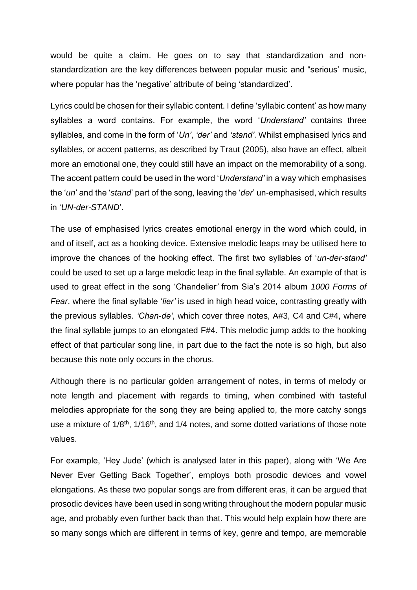would be quite a claim. He goes on to say that standardization and nonstandardization are the key differences between popular music and "serious' music, where popular has the 'negative' attribute of being 'standardized'.

Lyrics could be chosen for their syllabic content. I define 'syllabic content' as how many syllables a word contains. For example, the word '*Understand'* contains three syllables, and come in the form of '*Un'*, *'der'* and *'stand'*. Whilst emphasised lyrics and syllables, or accent patterns, as described by Traut (2005), also have an effect, albeit more an emotional one, they could still have an impact on the memorability of a song. The accent pattern could be used in the word '*Understand'* in a way which emphasises the '*un*' and the '*stand*' part of the song, leaving the '*der*' un-emphasised, which results in '*UN-der-STAND*'.

The use of emphasised lyrics creates emotional energy in the word which could, in and of itself, act as a hooking device. Extensive melodic leaps may be utilised here to improve the chances of the hooking effect. The first two syllables of '*un-der-stand'* could be used to set up a large melodic leap in the final syllable. An example of that is used to great effect in the song 'Chandelier*'* from Sia's 2014 album *1000 Forms of Fear*, where the final syllable '*lier'* is used in high head voice, contrasting greatly with the previous syllables. *'Chan-de'*, which cover three notes, A#3, C4 and C#4, where the final syllable jumps to an elongated F#4. This melodic jump adds to the hooking effect of that particular song line, in part due to the fact the note is so high, but also because this note only occurs in the chorus.

Although there is no particular golden arrangement of notes, in terms of melody or note length and placement with regards to timing, when combined with tasteful melodies appropriate for the song they are being applied to, the more catchy songs use a mixture of 1/8<sup>th</sup>, 1/16<sup>th</sup>, and 1/4 notes, and some dotted variations of those note values.

For example, 'Hey Jude' (which is analysed later in this paper), along with 'We Are Never Ever Getting Back Together', employs both prosodic devices and vowel elongations. As these two popular songs are from different eras, it can be argued that prosodic devices have been used in song writing throughout the modern popular music age, and probably even further back than that. This would help explain how there are so many songs which are different in terms of key, genre and tempo, are memorable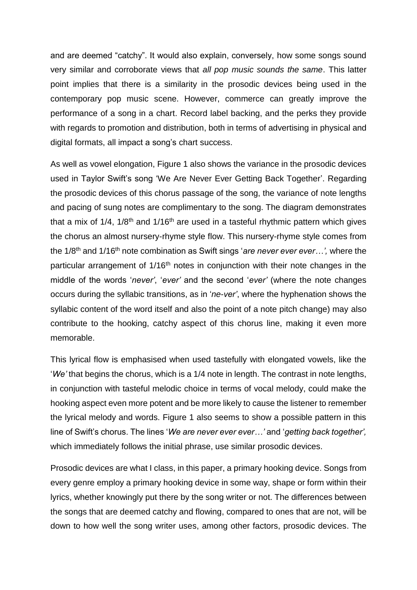and are deemed "catchy". It would also explain, conversely, how some songs sound very similar and corroborate views that *all pop music sounds the same*. This latter point implies that there is a similarity in the prosodic devices being used in the contemporary pop music scene. However, commerce can greatly improve the performance of a song in a chart. Record label backing, and the perks they provide with regards to promotion and distribution, both in terms of advertising in physical and digital formats, all impact a song's chart success.

As well as vowel elongation, Figure 1 also shows the variance in the prosodic devices used in Taylor Swift's song 'We Are Never Ever Getting Back Together'. Regarding the prosodic devices of this chorus passage of the song, the variance of note lengths and pacing of sung notes are complimentary to the song. The diagram demonstrates that a mix of  $1/4$ ,  $1/8$ <sup>th</sup> and  $1/16$ <sup>th</sup> are used in a tasteful rhythmic pattern which gives the chorus an almost nursery-rhyme style flow. This nursery-rhyme style comes from the 1/8th and 1/16th note combination as Swift sings '*are never ever ever…',* where the particular arrangement of 1/16<sup>th</sup> notes in conjunction with their note changes in the middle of the words '*never'*, '*ever'* and the second '*ever'* (where the note changes occurs during the syllabic transitions, as in '*ne-ver'*, where the hyphenation shows the syllabic content of the word itself and also the point of a note pitch change) may also contribute to the hooking, catchy aspect of this chorus line, making it even more memorable.

This lyrical flow is emphasised when used tastefully with elongated vowels, like the '*We'* that begins the chorus, which is a 1/4 note in length. The contrast in note lengths, in conjunction with tasteful melodic choice in terms of vocal melody, could make the hooking aspect even more potent and be more likely to cause the listener to remember the lyrical melody and words. Figure 1 also seems to show a possible pattern in this line of Swift's chorus. The lines '*We are never ever ever…'* and '*getting back together',* which immediately follows the initial phrase, use similar prosodic devices.

Prosodic devices are what I class, in this paper, a primary hooking device. Songs from every genre employ a primary hooking device in some way, shape or form within their lyrics, whether knowingly put there by the song writer or not. The differences between the songs that are deemed catchy and flowing, compared to ones that are not, will be down to how well the song writer uses, among other factors, prosodic devices. The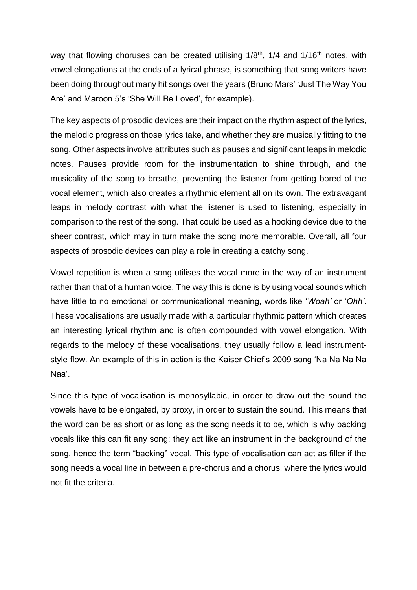way that flowing choruses can be created utilising  $1/8<sup>th</sup>$ ,  $1/4$  and  $1/16<sup>th</sup>$  notes, with vowel elongations at the ends of a lyrical phrase, is something that song writers have been doing throughout many hit songs over the years (Bruno Mars' 'Just The Way You Are' and Maroon 5's 'She Will Be Loved', for example).

The key aspects of prosodic devices are their impact on the rhythm aspect of the lyrics, the melodic progression those lyrics take, and whether they are musically fitting to the song. Other aspects involve attributes such as pauses and significant leaps in melodic notes. Pauses provide room for the instrumentation to shine through, and the musicality of the song to breathe, preventing the listener from getting bored of the vocal element, which also creates a rhythmic element all on its own. The extravagant leaps in melody contrast with what the listener is used to listening, especially in comparison to the rest of the song. That could be used as a hooking device due to the sheer contrast, which may in turn make the song more memorable. Overall, all four aspects of prosodic devices can play a role in creating a catchy song.

Vowel repetition is when a song utilises the vocal more in the way of an instrument rather than that of a human voice. The way this is done is by using vocal sounds which have little to no emotional or communicational meaning, words like '*Woah'* or '*Ohh'*. These vocalisations are usually made with a particular rhythmic pattern which creates an interesting lyrical rhythm and is often compounded with vowel elongation. With regards to the melody of these vocalisations, they usually follow a lead instrumentstyle flow. An example of this in action is the Kaiser Chief's 2009 song 'Na Na Na Na Naa'.

Since this type of vocalisation is monosyllabic, in order to draw out the sound the vowels have to be elongated, by proxy, in order to sustain the sound. This means that the word can be as short or as long as the song needs it to be, which is why backing vocals like this can fit any song: they act like an instrument in the background of the song, hence the term "backing" vocal. This type of vocalisation can act as filler if the song needs a vocal line in between a pre-chorus and a chorus, where the lyrics would not fit the criteria.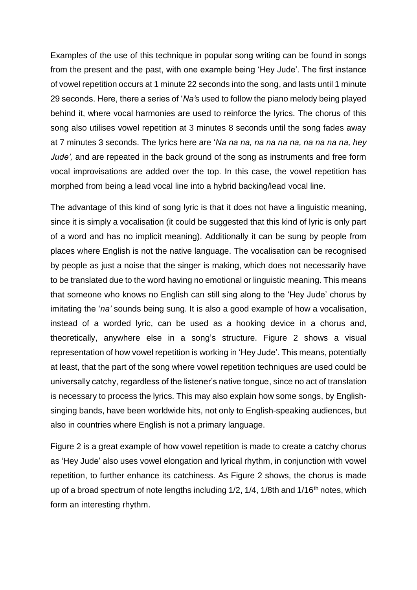Examples of the use of this technique in popular song writing can be found in songs from the present and the past, with one example being 'Hey Jude'. The first instance of vowel repetition occurs at 1 minute 22 seconds into the song, and lasts until 1 minute 29 seconds. Here, there a series of '*Na'*s used to follow the piano melody being played behind it, where vocal harmonies are used to reinforce the lyrics. The chorus of this song also utilises vowel repetition at 3 minutes 8 seconds until the song fades away at 7 minutes 3 seconds. The lyrics here are '*Na na na, na na na na, na na na na, hey Jude',* and are repeated in the back ground of the song as instruments and free form vocal improvisations are added over the top. In this case, the vowel repetition has morphed from being a lead vocal line into a hybrid backing/lead vocal line.

The advantage of this kind of song lyric is that it does not have a linguistic meaning, since it is simply a vocalisation (it could be suggested that this kind of lyric is only part of a word and has no implicit meaning). Additionally it can be sung by people from places where English is not the native language. The vocalisation can be recognised by people as just a noise that the singer is making, which does not necessarily have to be translated due to the word having no emotional or linguistic meaning. This means that someone who knows no English can still sing along to the 'Hey Jude' chorus by imitating the '*na'* sounds being sung. It is also a good example of how a vocalisation, instead of a worded lyric, can be used as a hooking device in a chorus and, theoretically, anywhere else in a song's structure. Figure 2 shows a visual representation of how vowel repetition is working in 'Hey Jude'. This means, potentially at least, that the part of the song where vowel repetition techniques are used could be universally catchy, regardless of the listener's native tongue, since no act of translation is necessary to process the lyrics. This may also explain how some songs, by Englishsinging bands, have been worldwide hits, not only to English-speaking audiences, but also in countries where English is not a primary language.

Figure 2 is a great example of how vowel repetition is made to create a catchy chorus as 'Hey Jude' also uses vowel elongation and lyrical rhythm, in conjunction with vowel repetition, to further enhance its catchiness. As Figure 2 shows, the chorus is made up of a broad spectrum of note lengths including  $1/2$ ,  $1/4$ ,  $1/8$ th and  $1/16$ <sup>th</sup> notes, which form an interesting rhythm.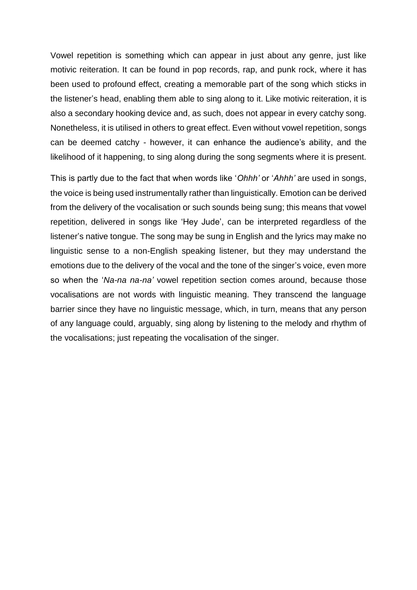Vowel repetition is something which can appear in just about any genre, just like motivic reiteration. It can be found in pop records, rap, and punk rock, where it has been used to profound effect, creating a memorable part of the song which sticks in the listener's head, enabling them able to sing along to it. Like motivic reiteration, it is also a secondary hooking device and, as such, does not appear in every catchy song. Nonetheless, it is utilised in others to great effect. Even without vowel repetition, songs can be deemed catchy - however, it can enhance the audience's ability, and the likelihood of it happening, to sing along during the song segments where it is present.

This is partly due to the fact that when words like '*Ohhh'* or '*Ahhh'* are used in songs, the voice is being used instrumentally rather than linguistically. Emotion can be derived from the delivery of the vocalisation or such sounds being sung; this means that vowel repetition, delivered in songs like 'Hey Jude', can be interpreted regardless of the listener's native tongue. The song may be sung in English and the lyrics may make no linguistic sense to a non-English speaking listener, but they may understand the emotions due to the delivery of the vocal and the tone of the singer's voice, even more so when the '*Na-na na-na'* vowel repetition section comes around, because those vocalisations are not words with linguistic meaning. They transcend the language barrier since they have no linguistic message, which, in turn, means that any person of any language could, arguably, sing along by listening to the melody and rhythm of the vocalisations; just repeating the vocalisation of the singer.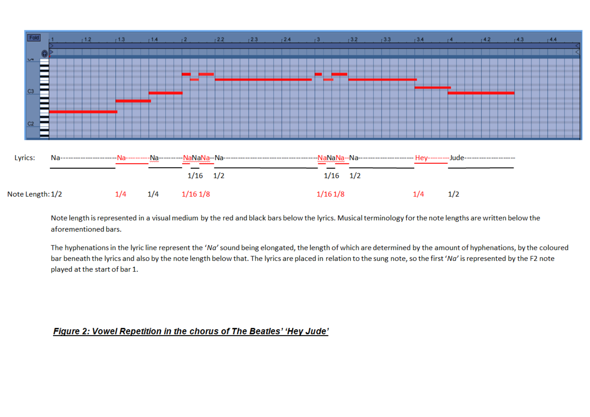

Note length is represented in a visual medium by the red and black bars below the lyrics. Musical terminology for the note lengths are written below the aforementioned bars.

The hyphenations in the lyric line represent the 'Na' sound being elongated, the length of which are determined by the amount of hyphenations, by the coloured bar beneath the lyrics and also by the note length below that. The lyrics are placed in relation to the sung note, so the first 'Na' is represented by the F2 note played at the start of bar 1.

#### Figure 2: Vowel Repetition in the chorus of The Beatles' 'Hey Jude'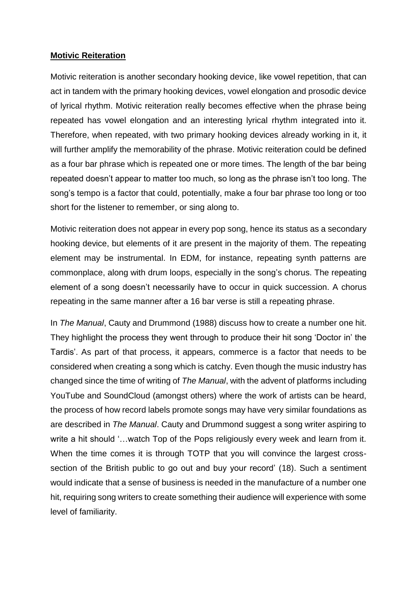#### **Motivic Reiteration**

Motivic reiteration is another secondary hooking device, like vowel repetition, that can act in tandem with the primary hooking devices, vowel elongation and prosodic device of lyrical rhythm. Motivic reiteration really becomes effective when the phrase being repeated has vowel elongation and an interesting lyrical rhythm integrated into it. Therefore, when repeated, with two primary hooking devices already working in it, it will further amplify the memorability of the phrase. Motivic reiteration could be defined as a four bar phrase which is repeated one or more times. The length of the bar being repeated doesn't appear to matter too much, so long as the phrase isn't too long. The song's tempo is a factor that could, potentially, make a four bar phrase too long or too short for the listener to remember, or sing along to.

Motivic reiteration does not appear in every pop song, hence its status as a secondary hooking device, but elements of it are present in the majority of them. The repeating element may be instrumental. In EDM, for instance, repeating synth patterns are commonplace, along with drum loops, especially in the song's chorus. The repeating element of a song doesn't necessarily have to occur in quick succession. A chorus repeating in the same manner after a 16 bar verse is still a repeating phrase.

In *The Manual*, Cauty and Drummond (1988) discuss how to create a number one hit. They highlight the process they went through to produce their hit song 'Doctor in' the Tardis'. As part of that process, it appears, commerce is a factor that needs to be considered when creating a song which is catchy. Even though the music industry has changed since the time of writing of *The Manual*, with the advent of platforms including YouTube and SoundCloud (amongst others) where the work of artists can be heard, the process of how record labels promote songs may have very similar foundations as are described in *The Manual*. Cauty and Drummond suggest a song writer aspiring to write a hit should '…watch Top of the Pops religiously every week and learn from it. When the time comes it is through TOTP that you will convince the largest crosssection of the British public to go out and buy your record' (18). Such a sentiment would indicate that a sense of business is needed in the manufacture of a number one hit, requiring song writers to create something their audience will experience with some level of familiarity.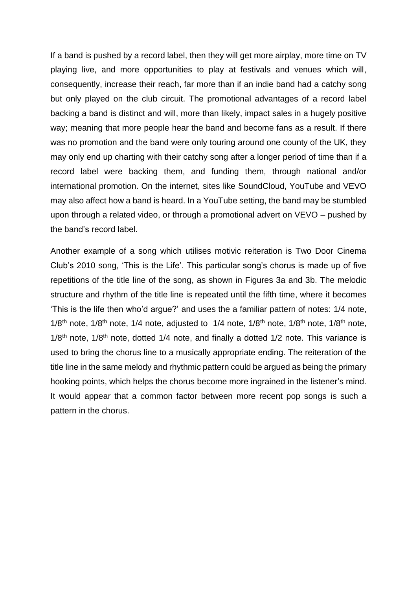If a band is pushed by a record label, then they will get more airplay, more time on TV playing live, and more opportunities to play at festivals and venues which will, consequently, increase their reach, far more than if an indie band had a catchy song but only played on the club circuit. The promotional advantages of a record label backing a band is distinct and will, more than likely, impact sales in a hugely positive way; meaning that more people hear the band and become fans as a result. If there was no promotion and the band were only touring around one county of the UK, they may only end up charting with their catchy song after a longer period of time than if a record label were backing them, and funding them, through national and/or international promotion. On the internet, sites like SoundCloud, YouTube and VEVO may also affect how a band is heard. In a YouTube setting, the band may be stumbled upon through a related video, or through a promotional advert on VEVO – pushed by the band's record label.

Another example of a song which utilises motivic reiteration is Two Door Cinema Club's 2010 song, 'This is the Life'. This particular song's chorus is made up of five repetitions of the title line of the song, as shown in Figures 3a and 3b. The melodic structure and rhythm of the title line is repeated until the fifth time, where it becomes 'This is the life then who'd argue?' and uses the a familiar pattern of notes: 1/4 note,  $1/8$ <sup>th</sup> note,  $1/8$ <sup>th</sup> note,  $1/4$  note, adjusted to  $1/4$  note,  $1/8$ <sup>th</sup> note,  $1/8$ <sup>th</sup> note, 1/8<sup>th</sup> note,  $1/8$ <sup>th</sup> note,  $1/8$ <sup>th</sup> note, dotted  $1/4$  note, and finally a dotted  $1/2$  note. This variance is used to bring the chorus line to a musically appropriate ending. The reiteration of the title line in the same melody and rhythmic pattern could be argued as being the primary hooking points, which helps the chorus become more ingrained in the listener's mind. It would appear that a common factor between more recent pop songs is such a pattern in the chorus.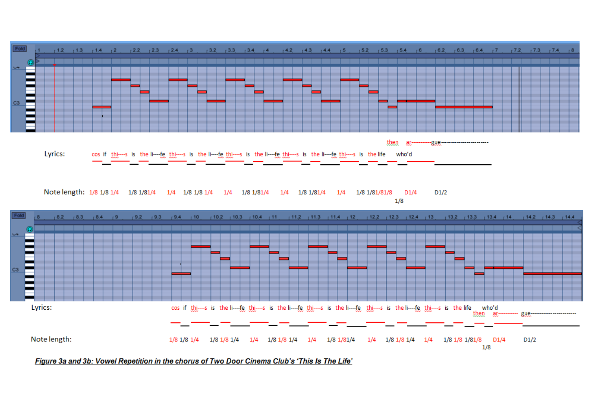

Note length: 1/8 1/8 1/4 1/8 1/81/4 1/4 1/8 1/8 1/4  $1/4$   $1/8$   $1/81/4$ 1/4 1/8 1/81/4  $1/4$ 1/8 1/81/81/8  $D1/4$  $D1/2$  $1/8$ 



Figure 3a and 3b: Vowel Repetition in the chorus of Two Door Cinema Club's 'This Is The Life'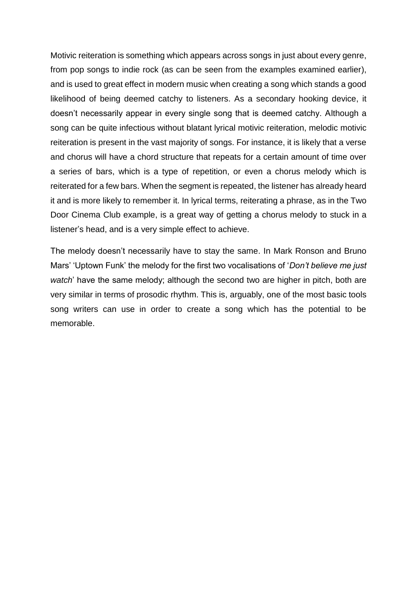Motivic reiteration is something which appears across songs in just about every genre, from pop songs to indie rock (as can be seen from the examples examined earlier), and is used to great effect in modern music when creating a song which stands a good likelihood of being deemed catchy to listeners. As a secondary hooking device, it doesn't necessarily appear in every single song that is deemed catchy. Although a song can be quite infectious without blatant lyrical motivic reiteration, melodic motivic reiteration is present in the vast majority of songs. For instance, it is likely that a verse and chorus will have a chord structure that repeats for a certain amount of time over a series of bars, which is a type of repetition, or even a chorus melody which is reiterated for a few bars. When the segment is repeated, the listener has already heard it and is more likely to remember it. In lyrical terms, reiterating a phrase, as in the Two Door Cinema Club example, is a great way of getting a chorus melody to stuck in a listener's head, and is a very simple effect to achieve.

The melody doesn't necessarily have to stay the same. In Mark Ronson and Bruno Mars' 'Uptown Funk' the melody for the first two vocalisations of '*Don't believe me just watch*' have the same melody; although the second two are higher in pitch, both are very similar in terms of prosodic rhythm. This is, arguably, one of the most basic tools song writers can use in order to create a song which has the potential to be memorable.